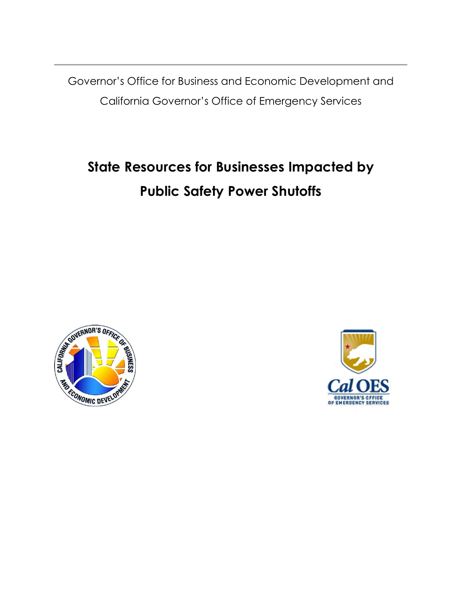Governor's Office for Business and Economic Development and California Governor's Office of Emergency Services

## **State Resources for Businesses Impacted by Public Safety Power Shutoffs**



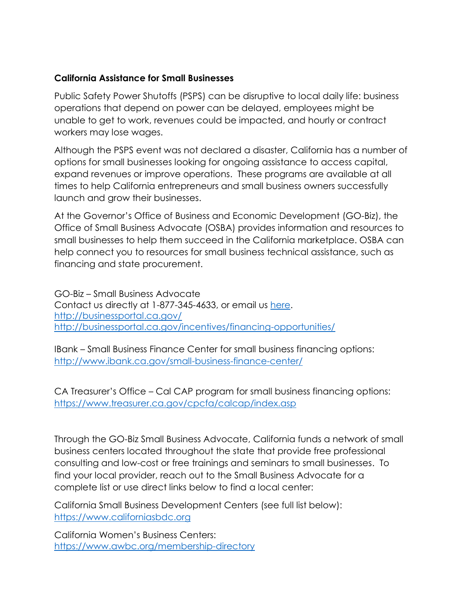## **California Assistance for Small Businesses**

Public Safety Power Shutoffs (PSPS) can be disruptive to local daily life: business operations that depend on power can be delayed, employees might be unable to get to work, revenues could be impacted, and hourly or contract workers may lose wages.

Although the PSPS event was not declared a disaster, California has a number of options for small businesses looking for ongoing assistance to access capital, expand revenues or improve operations. These programs are available at all times to help California entrepreneurs and small business owners successfully launch and grow their businesses.

At the Governor's Office of Business and Economic Development (GO-Biz), the Office of Small Business Advocate (OSBA) provides information and resources to small businesses to help them succeed in the California marketplace. OSBA can help connect you to resources for small business technical assistance, such as financing and state procurement.

GO-Biz – Small Business Advocate Contact us directly at 1-877-345-4633, or email us [here.](https://gobiz.zendesk.com/hc/en-us/requests/new) <http://businessportal.ca.gov/> <http://businessportal.ca.gov/incentives/financing-opportunities/>

IBank – Small Business Finance Center for small business financing options: <http://www.ibank.ca.gov/small-business-finance-center/>

CA Treasurer's Office – Cal CAP program for small business financing options: <https://www.treasurer.ca.gov/cpcfa/calcap/index.asp>

Through the GO-Biz Small Business Advocate, California funds a network of small business centers located throughout the state that provide free professional consulting and low-cost or free trainings and seminars to small businesses. To find your local provider, reach out to the Small Business Advocate for a complete list or use direct links below to find a local center:

[California Small Business Development Centers](https://www.californiasbdc.org/) (see full list below): [https://www.californiasbdc.org](https://www.californiasbdc.org/)

[California Women's Business Centers:](https://www.awbc.org/membership-directory) <https://www.awbc.org/membership-directory>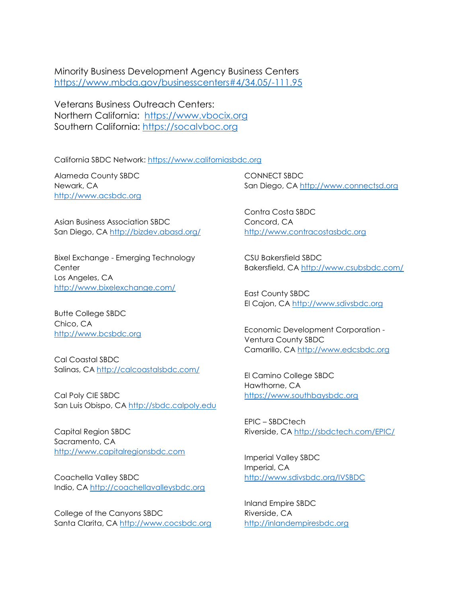[Minority Business Development Agency Business Centers](https://www.mbda.gov/businesscenters#4/34.05/-111.95) <https://www.mbda.gov/businesscenters#4/34.05/-111.95>

Veterans Business Outreach Centers: Northern California: [https://www.vbocix.org](https://www.vbocix.org/) Southern California: [https://socalvboc.org](https://socalvboc.org/)

California SBDC Network: [https://www.californiasbdc.org](https://www.californiasbdc.org/)

Alameda County SBDC Newark, CA [http://www.acsbdc.org](http://www.acsbdc.org/)

Asian Business Association SBDC San Diego, CA<http://bizdev.abasd.org/>

Bixel Exchange - Emerging Technology **Center** Los Angeles, CA <http://www.bixelexchange.com/>

Butte College SBDC Chico, CA [http://www.bcsbdc.org](http://www.bcsbdc.org/)

Cal Coastal SBDC Salinas, CA<http://calcoastalsbdc.com/>

Cal Poly CIE SBDC San Luis Obispo, CA [http://sbdc.calpoly.edu](http://sbdc.calpoly.edu/)

Capital Region SBDC Sacramento, CA [http://www.capitalregionsbdc.com](http://www.capitalregionsbdc.com/)

Coachella Valley SBDC Indio, CA [http://coachellavalleysbdc.org](http://coachellavalleysbdc.org/)

College of the Canyons SBDC Santa Clarita, CA [http://www.cocsbdc.org](http://www.cocsbdc.org/)

CONNECT SBDC San Diego, CA [http://www.connectsd.org](http://www.connectsd.org/)

Contra Costa SBDC Concord, CA [http://www.contracostasbdc.org](http://www.contracostasbdc.org/)

CSU Bakersfield SBDC Bakersfield, CA<http://www.csubsbdc.com/>

East County SBDC El Cajon, CA [http://www.sdivsbdc.org](http://www.sdivsbdc.org/)

Economic Development Corporation - Ventura County SBDC Camarillo, CA [http://www.edcsbdc.org](http://www.edcsbdc.org/)

El Camino College SBDC Hawthorne, CA [https://www.southbaysbdc.org](https://www.southbaysbdc.org/)

EPIC – SBDCtech Riverside, CA<http://sbdctech.com/EPIC/>

Imperial Valley SBDC Imperial, CA <http://www.sdivsbdc.org/IVSBDC>

Inland Empire SBDC Riverside, CA [http://inlandempiresbdc.org](http://inlandempiresbdc.org/)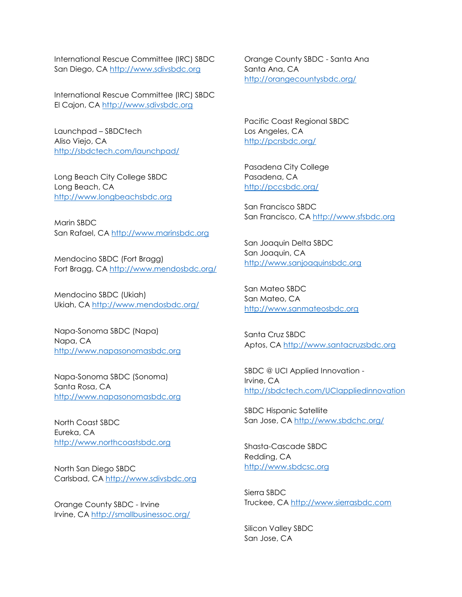International Rescue Committee (IRC) SBDC San Diego, CA [http://www.sdivsbdc.org](http://www.sdivsbdc.org/)

International Rescue Committee (IRC) SBDC El Cajon, CA [http://www.sdivsbdc.org](http://www.sdivsbdc.org/)

Launchpad – SBDCtech Aliso Viejo, CA <http://sbdctech.com/launchpad/>

Long Beach City College SBDC Long Beach, CA [http://www.longbeachsbdc.org](http://www.longbeachsbdc.org/)

Marin SBDC San Rafael, CA [http://www.marinsbdc.org](http://www.marinsbdc.org/)

Mendocino SBDC (Fort Bragg) Fort Bragg, CA<http://www.mendosbdc.org/>

Mendocino SBDC (Ukiah) Ukiah, CA<http://www.mendosbdc.org/>

Napa-Sonoma SBDC (Napa) Napa, CA [http://www.napasonomasbdc.org](http://www.napasonomasbdc.org/)

Napa-Sonoma SBDC (Sonoma) Santa Rosa, CA [http://www.napasonomasbdc.org](http://www.napasonomasbdc.org/)

North Coast SBDC Eureka, CA [http://www.northcoastsbdc.org](http://www.northcoastsbdc.org/)

North San Diego SBDC Carlsbad, CA [http://www.sdivsbdc.org](http://www.sdivsbdc.org/)

Orange County SBDC - Irvine Irvine, CA<http://smallbusinessoc.org/> Orange County SBDC - Santa Ana Santa Ana, CA <http://orangecountysbdc.org/>

Pacific Coast Regional SBDC Los Angeles, CA <http://pcrsbdc.org/>

Pasadena City College Pasadena, CA <http://pccsbdc.org/>

San Francisco SBDC San Francisco, CA [http://www.sfsbdc.org](http://www.sfsbdc.org/)

San Joaquin Delta SBDC San Joaquin, CA [http://www.sanjoaquinsbdc.org](http://www.sanjoaquinsbdc.org/)

San Mateo SBDC San Mateo, CA [http://www.sanmateosbdc.org](http://www.sanmateosbdc.org/)

Santa Cruz SBDC Aptos, CA [http://www.santacruzsbdc.org](http://www.santacruzsbdc.org/)

SBDC @ UCI Applied Innovation - Irvine, CA <http://sbdctech.com/UCIappliedinnovation>

SBDC Hispanic Satellite San Jose, CA<http://www.sbdchc.org/>

Shasta-Cascade SBDC Redding, CA [http://www.sbdcsc.org](http://www.sbdcsc.org/)

Sierra SBDC Truckee, CA [http://www.sierrasbdc.com](http://www.sierrasbdc.com/)

Silicon Valley SBDC San Jose, CA